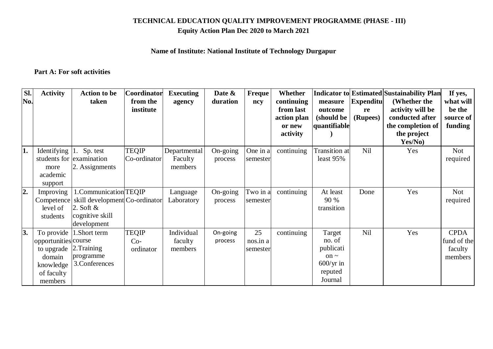# **TECHNICAL EDUCATION QUALITY IMPROVEMENT PROGRAMME (PHASE - III)**

## **Equity Action Plan Dec 2020 to March 2021**

## **Name of Institute: National Institute of Technology Durgapur**

## **Part A: For soft activities**

| Sl. | <b>Activity</b>      | <b>Action to be</b>            | Coordinator  | <b>Executing</b> | Date &   | Freque   | <b>Whether</b> |                        |                  | <b>Indicator to Estimated Sustainability Plan</b> | If yes,     |
|-----|----------------------|--------------------------------|--------------|------------------|----------|----------|----------------|------------------------|------------------|---------------------------------------------------|-------------|
| No. |                      | taken                          | from the     | agency           | duration | ncy      | continuing     | measure                | <b>Expenditu</b> | (Whether the                                      | what will   |
|     |                      |                                | institute    |                  |          |          | from last      | outcome                | re               | activity will be                                  | be the      |
|     |                      |                                |              |                  |          |          | action plan    | (should be             | (Rupees)         | conducted after                                   | source of   |
|     |                      |                                |              |                  |          |          | or new         | quantifiable           |                  | the completion of                                 | funding     |
|     |                      |                                |              |                  |          |          | activity       |                        |                  | the project<br>Yes/No)                            |             |
| 1.  | Identifying          | 1. Sp. test                    | <b>TEQIP</b> | Departmental     | On-going | One in a | continuing     | <b>Transition</b> at   | Nil              | Yes                                               | <b>Not</b>  |
|     |                      | students for examination       | Co-ordinator | Faculty          | process  | semester |                | least $95%$            |                  |                                                   | required    |
|     | more                 | 2. Assignments                 |              | members          |          |          |                |                        |                  |                                                   |             |
|     | academic             |                                |              |                  |          |          |                |                        |                  |                                                   |             |
|     | support              |                                |              |                  |          |          |                |                        |                  |                                                   |             |
| 2.  | Improving            | .Communication TEQIP           |              | Language         | On-going | Two in a | continuing     | At least               | Done             | Yes                                               | <b>Not</b>  |
|     | Competence           | skill development Co-ordinator |              | Laboratory       | process  | semester |                | 90 %                   |                  |                                                   | required    |
|     | level of             | 2. Soft $\&$                   |              |                  |          |          |                | transition             |                  |                                                   |             |
|     | students             | cognitive skill                |              |                  |          |          |                |                        |                  |                                                   |             |
|     |                      | development                    |              |                  |          |          |                |                        |                  |                                                   |             |
| 3.  | To provide           | 1. Short term                  | <b>TEQIP</b> | Individual       | On-going | 25       | continuing     | Target                 | <b>Nil</b>       | Yes                                               | <b>CPDA</b> |
|     | opportunities course |                                | $Co-$        | faculty          | process  | nos.in a |                | no. of                 |                  |                                                   | fund of the |
|     | to upgrade           | 2. Training                    | ordinator    | members          |          | semester |                | publicati<br>on $\sim$ |                  |                                                   | faculty     |
|     | domain               | programme<br>3.Conferences     |              |                  |          |          |                | $600/\text{yr}$ in     |                  |                                                   | members     |
|     | knowledge            |                                |              |                  |          |          |                | reputed                |                  |                                                   |             |
|     | of faculty           |                                |              |                  |          |          |                | Journal                |                  |                                                   |             |
|     | members              |                                |              |                  |          |          |                |                        |                  |                                                   |             |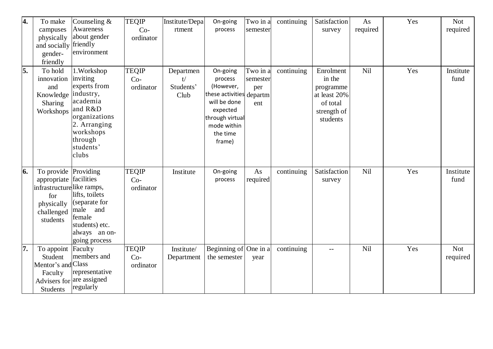| 4.               | To make<br>campuses<br>physically<br>and socially<br>gender-<br>friendly                              | Counseling $&$<br>Awareness<br>about gender<br>friendly<br>environment                                                                                     | <b>TEQIP</b><br>$Co-$<br>ordinator | Institute/Depa<br>rtment             | On-going<br>process                                                                                                                              | Two in a<br>semester               | continuing | Satisfaction<br>survey                                                                  | As<br>required | Yes | <b>Not</b><br>required |
|------------------|-------------------------------------------------------------------------------------------------------|------------------------------------------------------------------------------------------------------------------------------------------------------------|------------------------------------|--------------------------------------|--------------------------------------------------------------------------------------------------------------------------------------------------|------------------------------------|------------|-----------------------------------------------------------------------------------------|----------------|-----|------------------------|
| $\overline{5}$ . | To hold<br>innovation<br>and<br>Knowledge<br>Sharing<br>Workshops                                     | 1. Workshop<br>inviting<br>experts from<br>industry,<br>academia<br>and R&D<br>organizations<br>2. Arranging<br>workshops<br>through<br>students'<br>clubs | <b>TEQIP</b><br>$Co-$<br>ordinator | Departmen<br>t/<br>Students'<br>Club | On-going<br>process<br>(However,<br>these activities departm<br>will be done<br>expected<br>through virtual<br>mode within<br>the time<br>frame) | Two in a<br>semester<br>per<br>ent | continuing | Enrolment<br>in the<br>programme<br>at least 20%<br>of total<br>strength of<br>students | Nil            | Yes | Institute<br>fund      |
| 6.               | To provide<br>appropriate<br>infrastructurelike ramps,<br>for<br>physically<br>challenged<br>students | Providing<br>facilities<br>lifts, toilets<br>(separate for<br>male<br>and<br>female<br>students) etc.<br>always an on-<br>going process                    | <b>TEQIP</b><br>$Co-$<br>ordinator | Institute                            | On-going<br>process                                                                                                                              | As<br>required                     | continuing | Satisfaction<br>survey                                                                  | Nil            | Yes | Institute<br>fund      |
| 7.               | To appoint<br>Student<br>Mentor's and Class<br>Faculty<br>Students                                    | Faculty<br>members and<br>representative<br>Advisers for are assigned<br>regularly                                                                         | <b>TEQIP</b><br>$Co-$<br>ordinator | Institute/<br>Department             | Beginning of One in a<br>the semester                                                                                                            | year                               | continuing | $-$                                                                                     | Nil            | Yes | <b>Not</b><br>required |